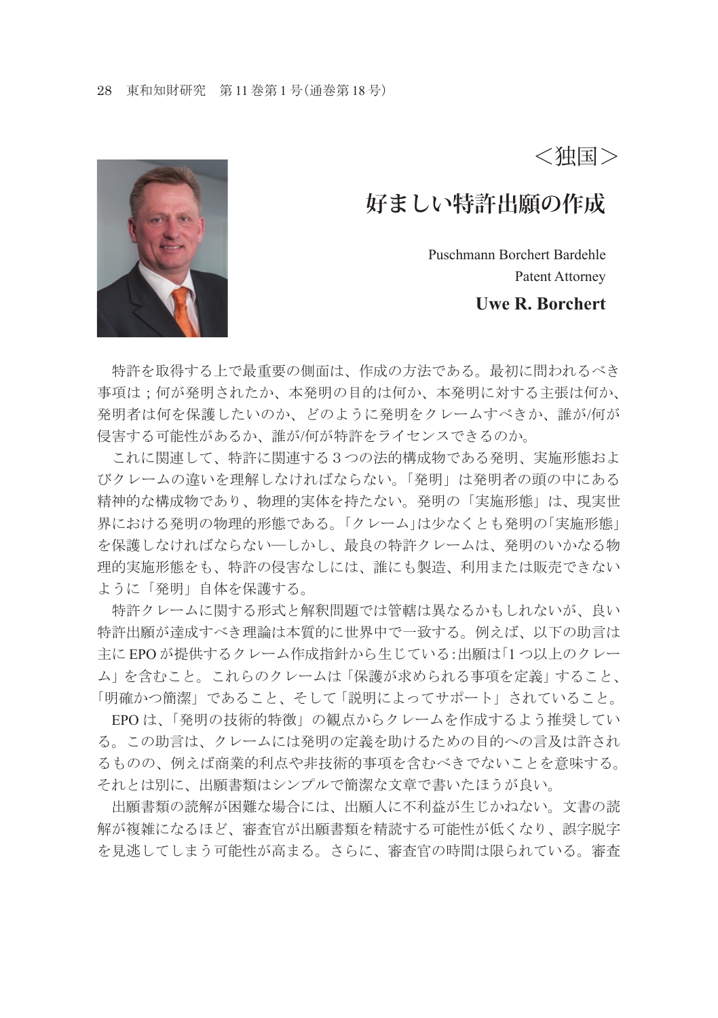<独国>

## **好ましい特許出願の作成**

Puschmann Borchert Bardehle Patent Attorney **Uwe R. Borchert**

 特許を取得する上で最重要の側面は、作成の方法である。最初に問われるべき 事項は;何が発明されたか、本発明の目的は何か、本発明に対する主張は何か、 発明者は何を保護したいのか、どのように発明をクレームすべきか、誰が/何が 侵害する可能性があるか、誰が/何が特許をライセンスできるのか。

 これに関連して、特許に関連する3つの法的構成物である発明、実施形態およ びクレームの違いを理解しなければならない。「発明」は発明者の頭の中にある 精神的な構成物であり、物理的実体を持たない。発明の「実施形態」は、現実世 界における発明の物理的形態である。「クレーム」は少なくとも発明の「実施形態」 を保護しなければならない―しかし、最良の特許クレームは、発明のいかなる物 理的実施形態をも、特許の侵害なしには、誰にも製造、利用または販売できない ように「発明」自体を保護する。

 特許クレームに関する形式と解釈問題では管轄は異なるかもしれないが、良い 特許出願が達成すべき理論は本質的に世界中で一致する。例えば、以下の助言は 主に EPO が提供するクレーム作成指針から生じている:出願は「1 つ以上のクレー ム」を含むこと。これらのクレームは「保護が求められる事項を定義」すること、 「明確かつ簡潔」であること、そして「説明によってサポート」されていること。

EPO は、「発明の技術的特徴」の観点からクレームを作成するよう推奨してい る。この助言は、クレームには発明の定義を助けるための目的への言及は許され るものの、例えば商業的利点や非技術的事項を含むべきでないことを意味する。 それとは別に、出願書類はシンプルで簡潔な文章で書いたほうが良い。

 出願書類の読解が困難な場合には、出願人に不利益が生じかねない。文書の読 解が複雑になるほど、審査官が出願書類を精読する可能性が低くなり、誤字脱字 を見逃してしまう可能性が高まる。さらに、審査官の時間は限られている。審査

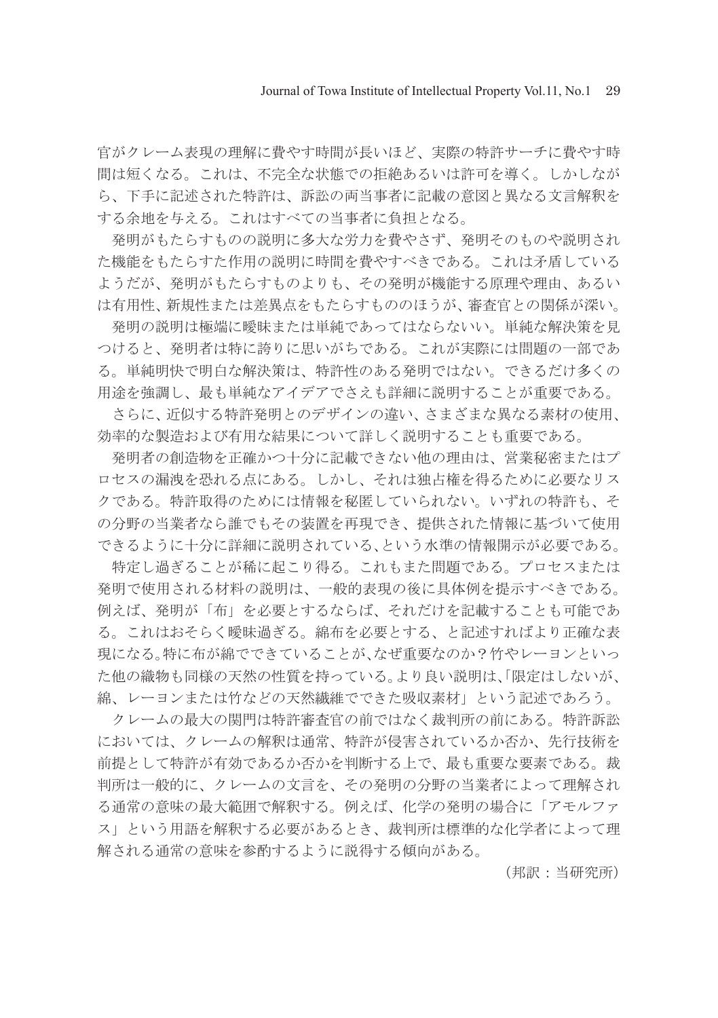官がクレーム表現の理解に費やす時間が長いほど、実際の特許サーチに費やす時 間は短くなる。これは、不完全な状態での拒絶あるいは許可を導く。しかしなが ら、下手に記述された特許は、訴訟の両当事者に記載の意図と異なる文言解釈を する余地を与える。これはすべての当事者に負担となる。

 発明がもたらすものの説明に多大な労力を費やさず、発明そのものや説明され た機能をもたらすた作用の説明に時間を費やすべきである。これは矛盾している ようだが、発明がもたらすものよりも、その発明が機能する原理や理由、あるい は有用性、新規性または差異点をもたらすもののほうが、審査官との関係が深い。

 発明の説明は極端に曖昧または単純であってはならないい。単純な解決策を見 つけると、発明者は特に誇りに思いがちである。これが実際には問題の一部であ る。単純明快で明白な解決策は、特許性のある発明ではない。できるだけ多くの 用途を強調し、最も単純なアイデアでさえも詳細に説明することが重要である。

 さらに、近似する特許発明とのデザインの違い、さまざまな異なる素材の使用、 効率的な製造および有用な結果について詳しく説明することも重要である。

 発明者の創造物を正確かつ十分に記載できない他の理由は、営業秘密またはプ ロセスの漏洩を恐れる点にある。しかし、それは独占権を得るために必要なリス クである。特許取得のためには情報を秘匿していられない。いずれの特許も、そ の分野の当業者なら誰でもその装置を再現でき、提供された情報に基づいて使用 できるように十分に詳細に説明されている、という水準の情報開示が必要である。

 特定し過ぎることが稀に起こり得る。これもまた問題である。プロセスまたは 発明で使用される材料の説明は、一般的表現の後に具体例を提示すべきである。 例えば、発明が「布」を必要とするならば、それだけを記載することも可能であ る。これはおそらく曖昧過ぎる。綿布を必要とする、と記述すればより正確な表 現になる。特に布が綿でできていることが、なぜ重要なのか?竹やレーヨンといっ た他の織物も同様の天然の性質を持っている。より良い説明は、「限定はしないが、 綿、レーヨンまたは竹などの天然繊維でできた吸収素材」という記述であろう。

 クレームの最大の関門は特許審査官の前ではなく裁判所の前にある。特許訴訟 においては、クレームの解釈は通常、特許が侵害されているか否か、先行技術を 前提として特許が有効であるか否かを判断する上で、最も重要な要素である。裁 判所は一般的に、クレームの文言を、その発明の分野の当業者によって理解され る通常の意味の最大範囲で解釈する。例えば、化学の発明の場合に「アモルファ ス」という用語を解釈する必要があるとき、裁判所は標準的な化学者によって理 解される通常の意味を参酌するように説得する傾向がある。

(邦訳:当研究所)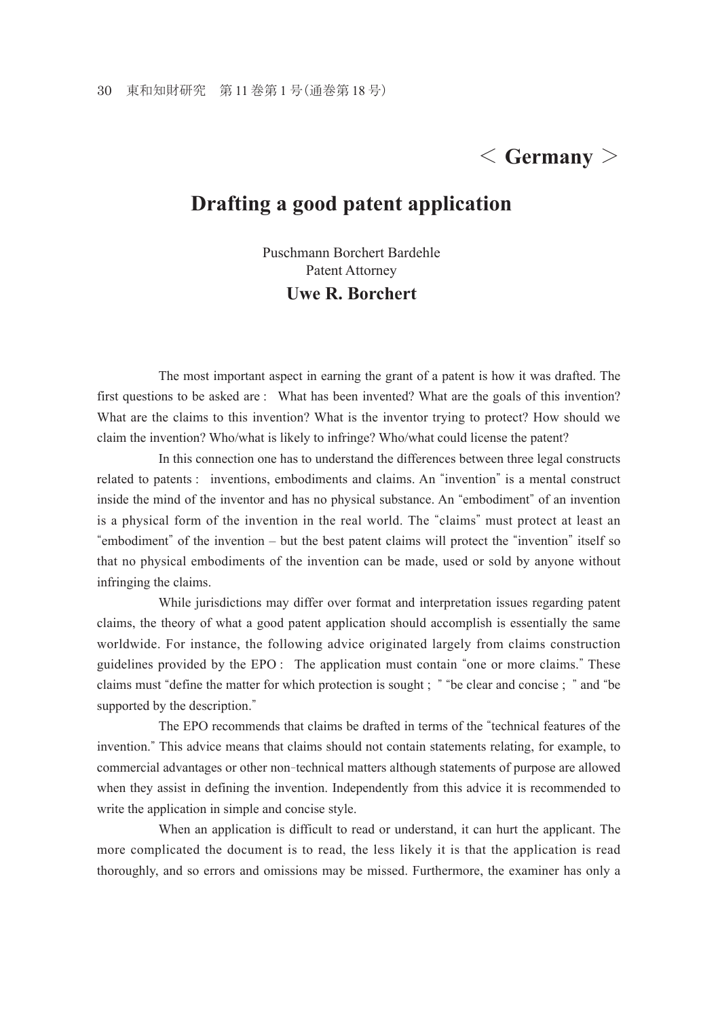## < **Germany** >

## **Drafting a good patent application**

Puschmann Borchert Bardehle Patent Attorney **Uwe R. Borchert**

 The most important aspect in earning the grant of a patent is how it was drafted. The first questions to be asked are : What has been invented? What are the goals of this invention? What are the claims to this invention? What is the inventor trying to protect? How should we claim the invention? Who/what is likely to infringe? Who/what could license the patent?

 In this connection one has to understand the differences between three legal constructs related to patents : inventions, embodiments and claims. An "invention" is a mental construct inside the mind of the inventor and has no physical substance. An "embodiment" of an invention is a physical form of the invention in the real world. The "claims" must protect at least an "embodiment" of the invention – but the best patent claims will protect the "invention" itself so that no physical embodiments of the invention can be made, used or sold by anyone without infringing the claims.

 While jurisdictions may differ over format and interpretation issues regarding patent claims, the theory of what a good patent application should accomplish is essentially the same worldwide. For instance, the following advice originated largely from claims construction guidelines provided by the EPO : The application must contain "one or more claims." These claims must "define the matter for which protection is sought ; " "be clear and concise ; " and "be supported by the description."

 The EPO recommends that claims be drafted in terms of the "technical features of the invention." This advice means that claims should not contain statements relating, for example, to commercial advantages or other non-technical matters although statements of purpose are allowed when they assist in defining the invention. Independently from this advice it is recommended to write the application in simple and concise style.

 When an application is difficult to read or understand, it can hurt the applicant. The more complicated the document is to read, the less likely it is that the application is read thoroughly, and so errors and omissions may be missed. Furthermore, the examiner has only a